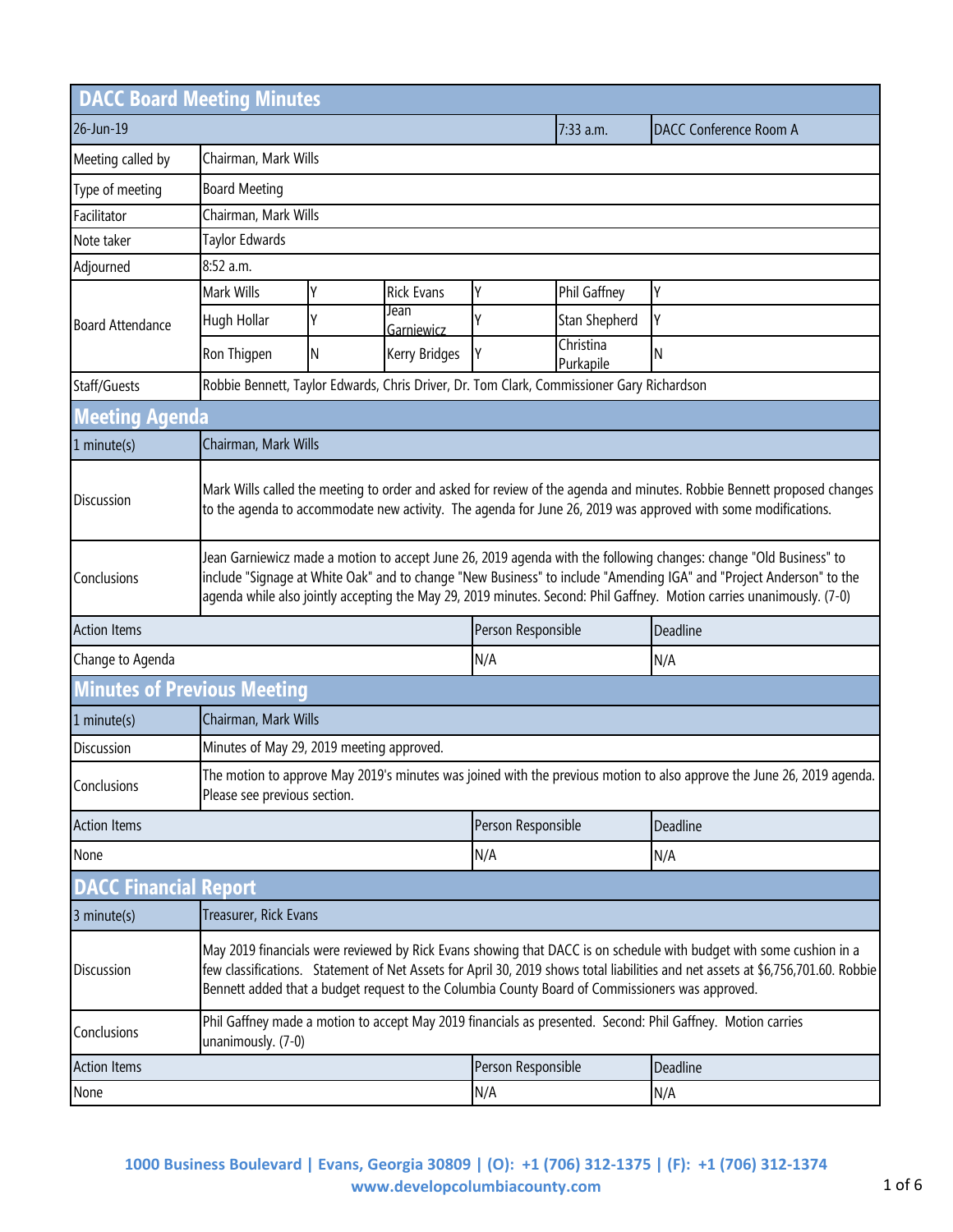| <b>DACC Board Meeting Minutes</b>  |                                                                                                                                                                                                                                                                                                                                                                   |                      |                    |                    |                        |                        |
|------------------------------------|-------------------------------------------------------------------------------------------------------------------------------------------------------------------------------------------------------------------------------------------------------------------------------------------------------------------------------------------------------------------|----------------------|--------------------|--------------------|------------------------|------------------------|
| 26-Jun-19                          |                                                                                                                                                                                                                                                                                                                                                                   |                      |                    |                    | $7:33$ a.m.            | DACC Conference Room A |
| Meeting called by                  |                                                                                                                                                                                                                                                                                                                                                                   | Chairman, Mark Wills |                    |                    |                        |                        |
| Type of meeting                    | <b>Board Meeting</b>                                                                                                                                                                                                                                                                                                                                              |                      |                    |                    |                        |                        |
| Facilitator                        | Chairman, Mark Wills                                                                                                                                                                                                                                                                                                                                              |                      |                    |                    |                        |                        |
| Note taker                         | Taylor Edwards                                                                                                                                                                                                                                                                                                                                                    |                      |                    |                    |                        |                        |
| Adjourned                          | 8:52 a.m.                                                                                                                                                                                                                                                                                                                                                         |                      |                    |                    |                        |                        |
| <b>Board Attendance</b>            | Mark Wills                                                                                                                                                                                                                                                                                                                                                        | Υ                    | <b>Rick Evans</b>  | Y                  | Phil Gaffney           | Υ                      |
|                                    | Hugh Hollar                                                                                                                                                                                                                                                                                                                                                       | Υ                    | Jean<br>Garniewicz | ٧                  | Stan Shepherd          | γ                      |
|                                    | Ron Thigpen                                                                                                                                                                                                                                                                                                                                                       | N                    | Kerry Bridges      | I٢                 | Christina<br>Purkapile | N                      |
| Staff/Guests                       | Robbie Bennett, Taylor Edwards, Chris Driver, Dr. Tom Clark, Commissioner Gary Richardson                                                                                                                                                                                                                                                                         |                      |                    |                    |                        |                        |
| <b>Meeting Agenda</b>              |                                                                                                                                                                                                                                                                                                                                                                   |                      |                    |                    |                        |                        |
| 1 minute(s)                        | Chairman, Mark Wills                                                                                                                                                                                                                                                                                                                                              |                      |                    |                    |                        |                        |
| Discussion                         | Mark Wills called the meeting to order and asked for review of the agenda and minutes. Robbie Bennett proposed changes<br>to the agenda to accommodate new activity. The agenda for June 26, 2019 was approved with some modifications.                                                                                                                           |                      |                    |                    |                        |                        |
| Conclusions                        | Jean Garniewicz made a motion to accept June 26, 2019 agenda with the following changes: change "Old Business" to<br>include "Signage at White Oak" and to change "New Business" to include "Amending IGA" and "Project Anderson" to the<br>agenda while also jointly accepting the May 29, 2019 minutes. Second: Phil Gaffney. Motion carries unanimously. (7-0) |                      |                    |                    |                        |                        |
| <b>Action Items</b>                |                                                                                                                                                                                                                                                                                                                                                                   |                      |                    | Person Responsible |                        | Deadline               |
| Change to Agenda                   |                                                                                                                                                                                                                                                                                                                                                                   |                      | N/A                |                    | N/A                    |                        |
| <b>Minutes of Previous Meeting</b> |                                                                                                                                                                                                                                                                                                                                                                   |                      |                    |                    |                        |                        |
| $1$ minute(s)                      | Chairman, Mark Wills                                                                                                                                                                                                                                                                                                                                              |                      |                    |                    |                        |                        |
| Discussion                         | Minutes of May 29, 2019 meeting approved.                                                                                                                                                                                                                                                                                                                         |                      |                    |                    |                        |                        |
| Conclusions                        | The motion to approve May 2019's minutes was joined with the previous motion to also approve the June 26, 2019 agenda.<br>Please see previous section.                                                                                                                                                                                                            |                      |                    |                    |                        |                        |
| <b>Action Items</b>                |                                                                                                                                                                                                                                                                                                                                                                   |                      | Person Responsible |                    | Deadline               |                        |
| None                               |                                                                                                                                                                                                                                                                                                                                                                   |                      |                    | N/A                |                        | N/A                    |
| <b>DACC Financial Report</b>       |                                                                                                                                                                                                                                                                                                                                                                   |                      |                    |                    |                        |                        |
| 3 minute(s)                        | Treasurer, Rick Evans                                                                                                                                                                                                                                                                                                                                             |                      |                    |                    |                        |                        |
| Discussion                         | May 2019 financials were reviewed by Rick Evans showing that DACC is on schedule with budget with some cushion in a<br>few classifications. Statement of Net Assets for April 30, 2019 shows total liabilities and net assets at \$6,756,701.60. Robbie<br>Bennett added that a budget request to the Columbia County Board of Commissioners was approved.        |                      |                    |                    |                        |                        |
| Conclusions                        | Phil Gaffney made a motion to accept May 2019 financials as presented. Second: Phil Gaffney. Motion carries<br>unanimously. (7-0)                                                                                                                                                                                                                                 |                      |                    |                    |                        |                        |
| <b>Action Items</b>                |                                                                                                                                                                                                                                                                                                                                                                   |                      | Person Responsible |                    | Deadline               |                        |
| None                               |                                                                                                                                                                                                                                                                                                                                                                   |                      |                    | N/A                |                        | N/A                    |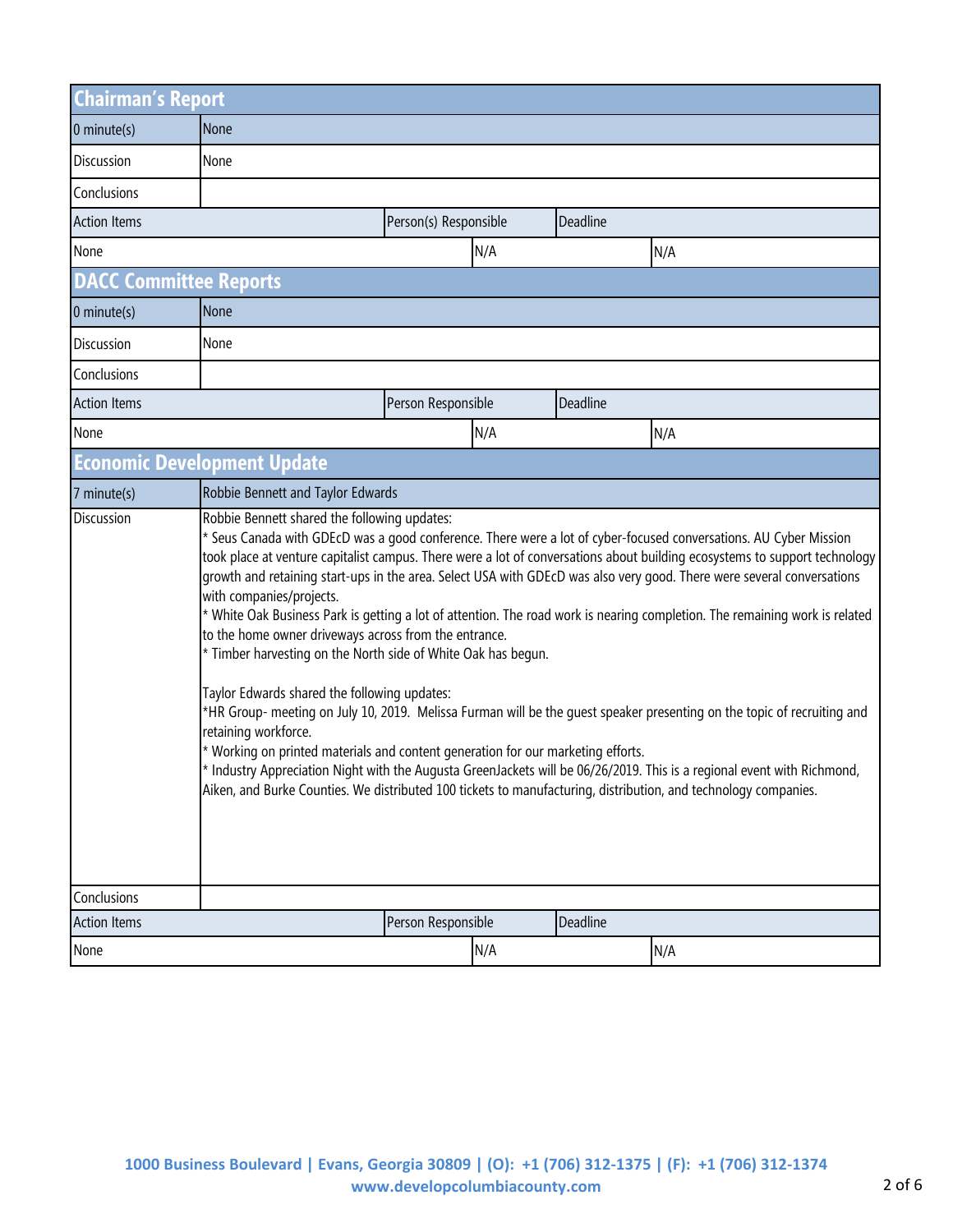| <b>Chairman's Report</b>      |                                                                                                                                                                                                                                                                                                                                                                                                                                                                                                                                                                                                                                                                                                                                                                                                                                                                                                                                                                                                                                                                                                                                                                                                                                                     |                    |     |          |     |
|-------------------------------|-----------------------------------------------------------------------------------------------------------------------------------------------------------------------------------------------------------------------------------------------------------------------------------------------------------------------------------------------------------------------------------------------------------------------------------------------------------------------------------------------------------------------------------------------------------------------------------------------------------------------------------------------------------------------------------------------------------------------------------------------------------------------------------------------------------------------------------------------------------------------------------------------------------------------------------------------------------------------------------------------------------------------------------------------------------------------------------------------------------------------------------------------------------------------------------------------------------------------------------------------------|--------------------|-----|----------|-----|
| $0$ minute(s)                 | <b>None</b>                                                                                                                                                                                                                                                                                                                                                                                                                                                                                                                                                                                                                                                                                                                                                                                                                                                                                                                                                                                                                                                                                                                                                                                                                                         |                    |     |          |     |
| Discussion                    | None                                                                                                                                                                                                                                                                                                                                                                                                                                                                                                                                                                                                                                                                                                                                                                                                                                                                                                                                                                                                                                                                                                                                                                                                                                                |                    |     |          |     |
| Conclusions                   |                                                                                                                                                                                                                                                                                                                                                                                                                                                                                                                                                                                                                                                                                                                                                                                                                                                                                                                                                                                                                                                                                                                                                                                                                                                     |                    |     |          |     |
| <b>Action Items</b>           | Person(s) Responsible<br>Deadline                                                                                                                                                                                                                                                                                                                                                                                                                                                                                                                                                                                                                                                                                                                                                                                                                                                                                                                                                                                                                                                                                                                                                                                                                   |                    |     |          |     |
| None                          |                                                                                                                                                                                                                                                                                                                                                                                                                                                                                                                                                                                                                                                                                                                                                                                                                                                                                                                                                                                                                                                                                                                                                                                                                                                     |                    | N/A |          | N/A |
| <b>DACC Committee Reports</b> |                                                                                                                                                                                                                                                                                                                                                                                                                                                                                                                                                                                                                                                                                                                                                                                                                                                                                                                                                                                                                                                                                                                                                                                                                                                     |                    |     |          |     |
| $0$ minute(s)                 | None                                                                                                                                                                                                                                                                                                                                                                                                                                                                                                                                                                                                                                                                                                                                                                                                                                                                                                                                                                                                                                                                                                                                                                                                                                                |                    |     |          |     |
| Discussion                    | None                                                                                                                                                                                                                                                                                                                                                                                                                                                                                                                                                                                                                                                                                                                                                                                                                                                                                                                                                                                                                                                                                                                                                                                                                                                |                    |     |          |     |
| Conclusions                   |                                                                                                                                                                                                                                                                                                                                                                                                                                                                                                                                                                                                                                                                                                                                                                                                                                                                                                                                                                                                                                                                                                                                                                                                                                                     |                    |     |          |     |
| <b>Action Items</b>           |                                                                                                                                                                                                                                                                                                                                                                                                                                                                                                                                                                                                                                                                                                                                                                                                                                                                                                                                                                                                                                                                                                                                                                                                                                                     | Person Responsible |     | Deadline |     |
| None                          |                                                                                                                                                                                                                                                                                                                                                                                                                                                                                                                                                                                                                                                                                                                                                                                                                                                                                                                                                                                                                                                                                                                                                                                                                                                     |                    | N/A |          | N/A |
|                               | <b>Economic Development Update</b>                                                                                                                                                                                                                                                                                                                                                                                                                                                                                                                                                                                                                                                                                                                                                                                                                                                                                                                                                                                                                                                                                                                                                                                                                  |                    |     |          |     |
| 7 minute(s)                   | Robbie Bennett and Taylor Edwards                                                                                                                                                                                                                                                                                                                                                                                                                                                                                                                                                                                                                                                                                                                                                                                                                                                                                                                                                                                                                                                                                                                                                                                                                   |                    |     |          |     |
| Discussion                    | Robbie Bennett shared the following updates:<br>* Seus Canada with GDEcD was a good conference. There were a lot of cyber-focused conversations. AU Cyber Mission<br>took place at venture capitalist campus. There were a lot of conversations about building ecosystems to support technology<br>growth and retaining start-ups in the area. Select USA with GDEcD was also very good. There were several conversations<br>with companies/projects.<br>* White Oak Business Park is getting a lot of attention. The road work is nearing completion. The remaining work is related<br>to the home owner driveways across from the entrance.<br>* Timber harvesting on the North side of White Oak has begun.<br>Taylor Edwards shared the following updates:<br>*HR Group- meeting on July 10, 2019. Melissa Furman will be the guest speaker presenting on the topic of recruiting and<br>retaining workforce.<br>* Working on printed materials and content generation for our marketing efforts.<br>* Industry Appreciation Night with the Augusta GreenJackets will be 06/26/2019. This is a regional event with Richmond,<br>Aiken, and Burke Counties. We distributed 100 tickets to manufacturing, distribution, and technology companies. |                    |     |          |     |
| Conclusions                   |                                                                                                                                                                                                                                                                                                                                                                                                                                                                                                                                                                                                                                                                                                                                                                                                                                                                                                                                                                                                                                                                                                                                                                                                                                                     |                    |     |          |     |
| <b>Action Items</b>           |                                                                                                                                                                                                                                                                                                                                                                                                                                                                                                                                                                                                                                                                                                                                                                                                                                                                                                                                                                                                                                                                                                                                                                                                                                                     | Person Responsible |     | Deadline |     |
| None                          |                                                                                                                                                                                                                                                                                                                                                                                                                                                                                                                                                                                                                                                                                                                                                                                                                                                                                                                                                                                                                                                                                                                                                                                                                                                     |                    | N/A |          | N/A |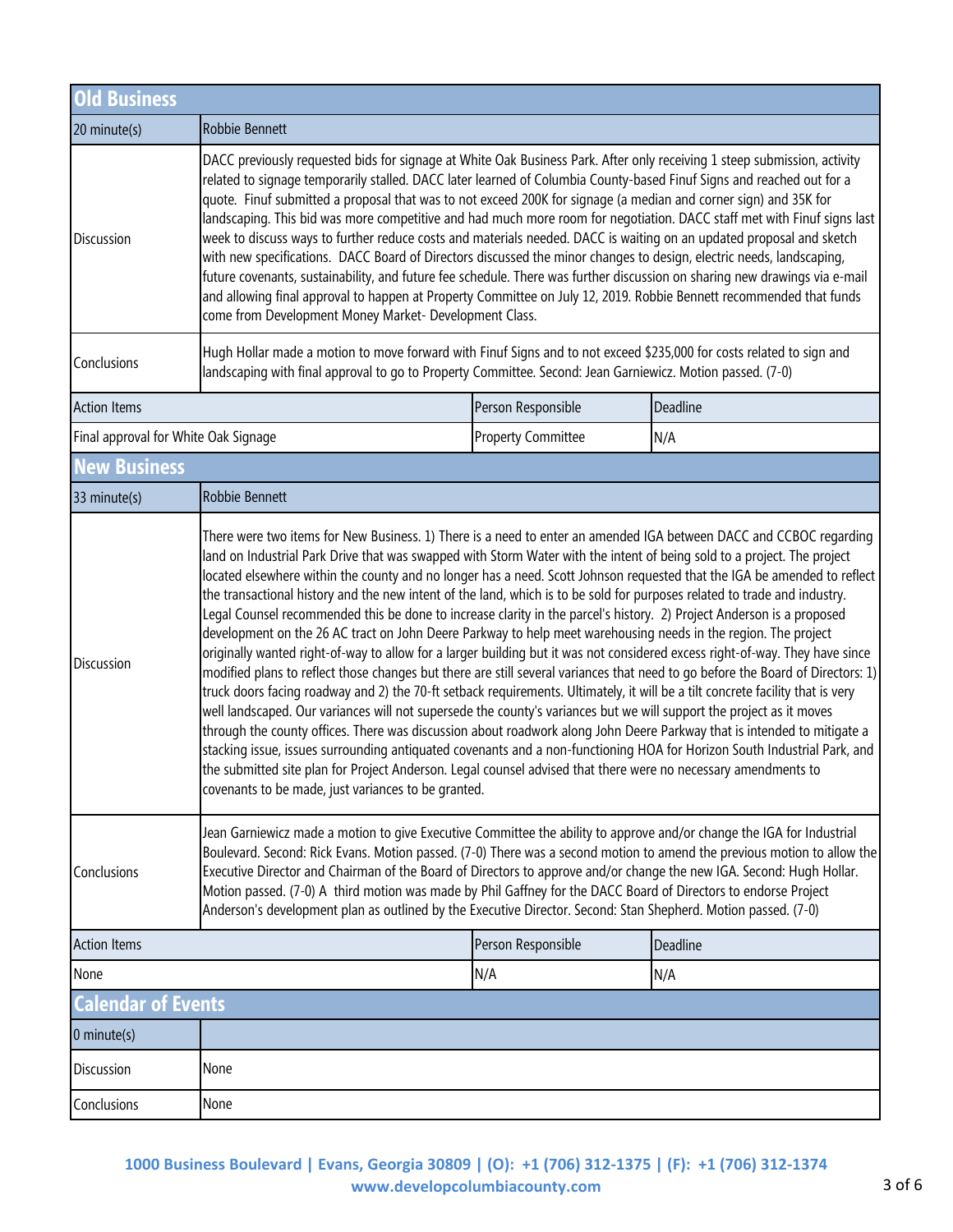| <b>Old Business</b>                  |                                                                                                                                                                                                                                                                                                                                                                                                                                                                                                                                                                                                                                                                                                                                                                                                                                                                                                                                                                                                                                                                                                                                                                                                                                                                                                                                                                                                                                                                                                                                                                                                                                                                                                                |                           |          |  |
|--------------------------------------|----------------------------------------------------------------------------------------------------------------------------------------------------------------------------------------------------------------------------------------------------------------------------------------------------------------------------------------------------------------------------------------------------------------------------------------------------------------------------------------------------------------------------------------------------------------------------------------------------------------------------------------------------------------------------------------------------------------------------------------------------------------------------------------------------------------------------------------------------------------------------------------------------------------------------------------------------------------------------------------------------------------------------------------------------------------------------------------------------------------------------------------------------------------------------------------------------------------------------------------------------------------------------------------------------------------------------------------------------------------------------------------------------------------------------------------------------------------------------------------------------------------------------------------------------------------------------------------------------------------------------------------------------------------------------------------------------------------|---------------------------|----------|--|
| 20 minute(s)                         | Robbie Bennett                                                                                                                                                                                                                                                                                                                                                                                                                                                                                                                                                                                                                                                                                                                                                                                                                                                                                                                                                                                                                                                                                                                                                                                                                                                                                                                                                                                                                                                                                                                                                                                                                                                                                                 |                           |          |  |
| Discussion                           | DACC previously requested bids for signage at White Oak Business Park. After only receiving 1 steep submission, activity<br>related to signage temporarily stalled. DACC later learned of Columbia County-based Finuf Signs and reached out for a<br>quote. Finuf submitted a proposal that was to not exceed 200K for signage (a median and corner sign) and 35K for<br>landscaping. This bid was more competitive and had much more room for negotiation. DACC staff met with Finuf signs last<br>week to discuss ways to further reduce costs and materials needed. DACC is waiting on an updated proposal and sketch<br>with new specifications. DACC Board of Directors discussed the minor changes to design, electric needs, landscaping,<br>future covenants, sustainability, and future fee schedule. There was further discussion on sharing new drawings via e-mail<br>and allowing final approval to happen at Property Committee on July 12, 2019. Robbie Bennett recommended that funds<br>come from Development Money Market- Development Class.                                                                                                                                                                                                                                                                                                                                                                                                                                                                                                                                                                                                                                                |                           |          |  |
| Conclusions                          | Hugh Hollar made a motion to move forward with Finuf Signs and to not exceed \$235,000 for costs related to sign and<br>landscaping with final approval to go to Property Committee. Second: Jean Garniewicz. Motion passed. (7-0)                                                                                                                                                                                                                                                                                                                                                                                                                                                                                                                                                                                                                                                                                                                                                                                                                                                                                                                                                                                                                                                                                                                                                                                                                                                                                                                                                                                                                                                                             |                           |          |  |
| <b>Action Items</b>                  |                                                                                                                                                                                                                                                                                                                                                                                                                                                                                                                                                                                                                                                                                                                                                                                                                                                                                                                                                                                                                                                                                                                                                                                                                                                                                                                                                                                                                                                                                                                                                                                                                                                                                                                | Person Responsible        | Deadline |  |
| Final approval for White Oak Signage |                                                                                                                                                                                                                                                                                                                                                                                                                                                                                                                                                                                                                                                                                                                                                                                                                                                                                                                                                                                                                                                                                                                                                                                                                                                                                                                                                                                                                                                                                                                                                                                                                                                                                                                | <b>Property Committee</b> | N/A      |  |
| <b>New Business</b>                  |                                                                                                                                                                                                                                                                                                                                                                                                                                                                                                                                                                                                                                                                                                                                                                                                                                                                                                                                                                                                                                                                                                                                                                                                                                                                                                                                                                                                                                                                                                                                                                                                                                                                                                                |                           |          |  |
| 33 minute(s)                         | Robbie Bennett                                                                                                                                                                                                                                                                                                                                                                                                                                                                                                                                                                                                                                                                                                                                                                                                                                                                                                                                                                                                                                                                                                                                                                                                                                                                                                                                                                                                                                                                                                                                                                                                                                                                                                 |                           |          |  |
| Discussion                           | There were two items for New Business. 1) There is a need to enter an amended IGA between DACC and CCBOC regarding<br>land on Industrial Park Drive that was swapped with Storm Water with the intent of being sold to a project. The project<br>located elsewhere within the county and no longer has a need. Scott Johnson requested that the IGA be amended to reflect<br>the transactional history and the new intent of the land, which is to be sold for purposes related to trade and industry.<br>Legal Counsel recommended this be done to increase clarity in the parcel's history. 2) Project Anderson is a proposed<br>development on the 26 AC tract on John Deere Parkway to help meet warehousing needs in the region. The project<br>originally wanted right-of-way to allow for a larger building but it was not considered excess right-of-way. They have since<br>modified plans to reflect those changes but there are still several variances that need to go before the Board of Directors: 1)<br>truck doors facing roadway and 2) the 70-ft setback requirements. Ultimately, it will be a tilt concrete facility that is very<br>well landscaped. Our variances will not supersede the county's variances but we will support the project as it moves<br>through the county offices. There was discussion about roadwork along John Deere Parkway that is intended to mitigate a<br>stacking issue, issues surrounding antiquated covenants and a non-functioning HOA for Horizon South Industrial Park, and<br>the submitted site plan for Project Anderson. Legal counsel advised that there were no necessary amendments to<br>covenants to be made, just variances to be granted. |                           |          |  |
| Conclusions                          | Jean Garniewicz made a motion to give Executive Committee the ability to approve and/or change the IGA for Industrial<br>Boulevard. Second: Rick Evans. Motion passed. (7-0) There was a second motion to amend the previous motion to allow the<br>Executive Director and Chairman of the Board of Directors to approve and/or change the new IGA. Second: Hugh Hollar.<br>Motion passed. (7-0) A third motion was made by Phil Gaffney for the DACC Board of Directors to endorse Project<br>Anderson's development plan as outlined by the Executive Director. Second: Stan Shepherd. Motion passed. (7-0)                                                                                                                                                                                                                                                                                                                                                                                                                                                                                                                                                                                                                                                                                                                                                                                                                                                                                                                                                                                                                                                                                                  |                           |          |  |
| <b>Action Items</b>                  |                                                                                                                                                                                                                                                                                                                                                                                                                                                                                                                                                                                                                                                                                                                                                                                                                                                                                                                                                                                                                                                                                                                                                                                                                                                                                                                                                                                                                                                                                                                                                                                                                                                                                                                | Person Responsible        | Deadline |  |
| None                                 |                                                                                                                                                                                                                                                                                                                                                                                                                                                                                                                                                                                                                                                                                                                                                                                                                                                                                                                                                                                                                                                                                                                                                                                                                                                                                                                                                                                                                                                                                                                                                                                                                                                                                                                | N/A                       | N/A      |  |
| <b>Calendar of Events</b>            |                                                                                                                                                                                                                                                                                                                                                                                                                                                                                                                                                                                                                                                                                                                                                                                                                                                                                                                                                                                                                                                                                                                                                                                                                                                                                                                                                                                                                                                                                                                                                                                                                                                                                                                |                           |          |  |
| $0$ minute(s)                        |                                                                                                                                                                                                                                                                                                                                                                                                                                                                                                                                                                                                                                                                                                                                                                                                                                                                                                                                                                                                                                                                                                                                                                                                                                                                                                                                                                                                                                                                                                                                                                                                                                                                                                                |                           |          |  |
| <b>Discussion</b>                    | None                                                                                                                                                                                                                                                                                                                                                                                                                                                                                                                                                                                                                                                                                                                                                                                                                                                                                                                                                                                                                                                                                                                                                                                                                                                                                                                                                                                                                                                                                                                                                                                                                                                                                                           |                           |          |  |
| Conclusions                          | None                                                                                                                                                                                                                                                                                                                                                                                                                                                                                                                                                                                                                                                                                                                                                                                                                                                                                                                                                                                                                                                                                                                                                                                                                                                                                                                                                                                                                                                                                                                                                                                                                                                                                                           |                           |          |  |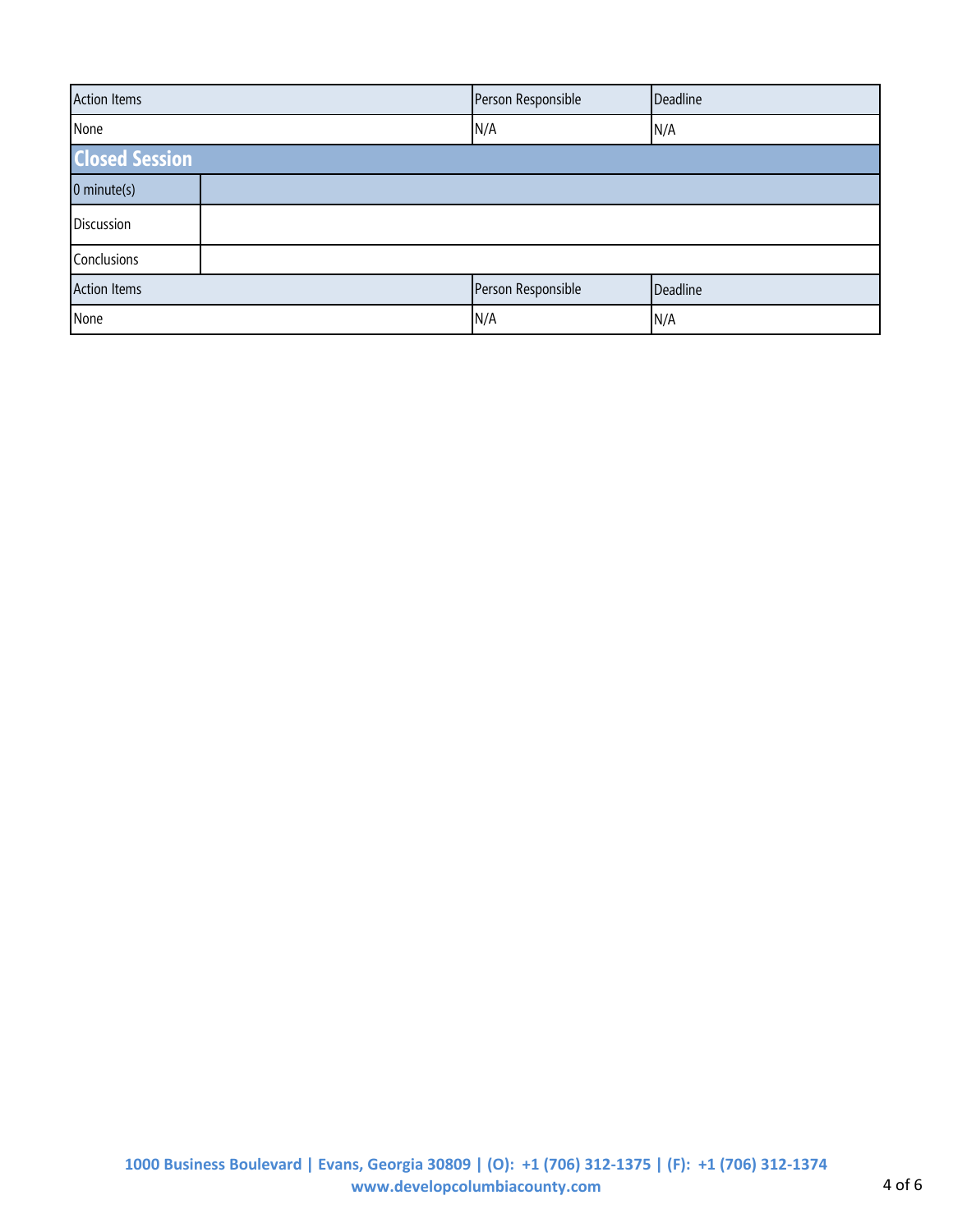| <b>Action Items</b>   | Person Responsible | Deadline |  |  |
|-----------------------|--------------------|----------|--|--|
| None                  | N/A                | N/A      |  |  |
| <b>Closed Session</b> |                    |          |  |  |
| $0$ minute(s)         |                    |          |  |  |
| Discussion            |                    |          |  |  |
| Conclusions           |                    |          |  |  |
| <b>Action Items</b>   | Person Responsible | Deadline |  |  |
| None                  | N/A                | N/A      |  |  |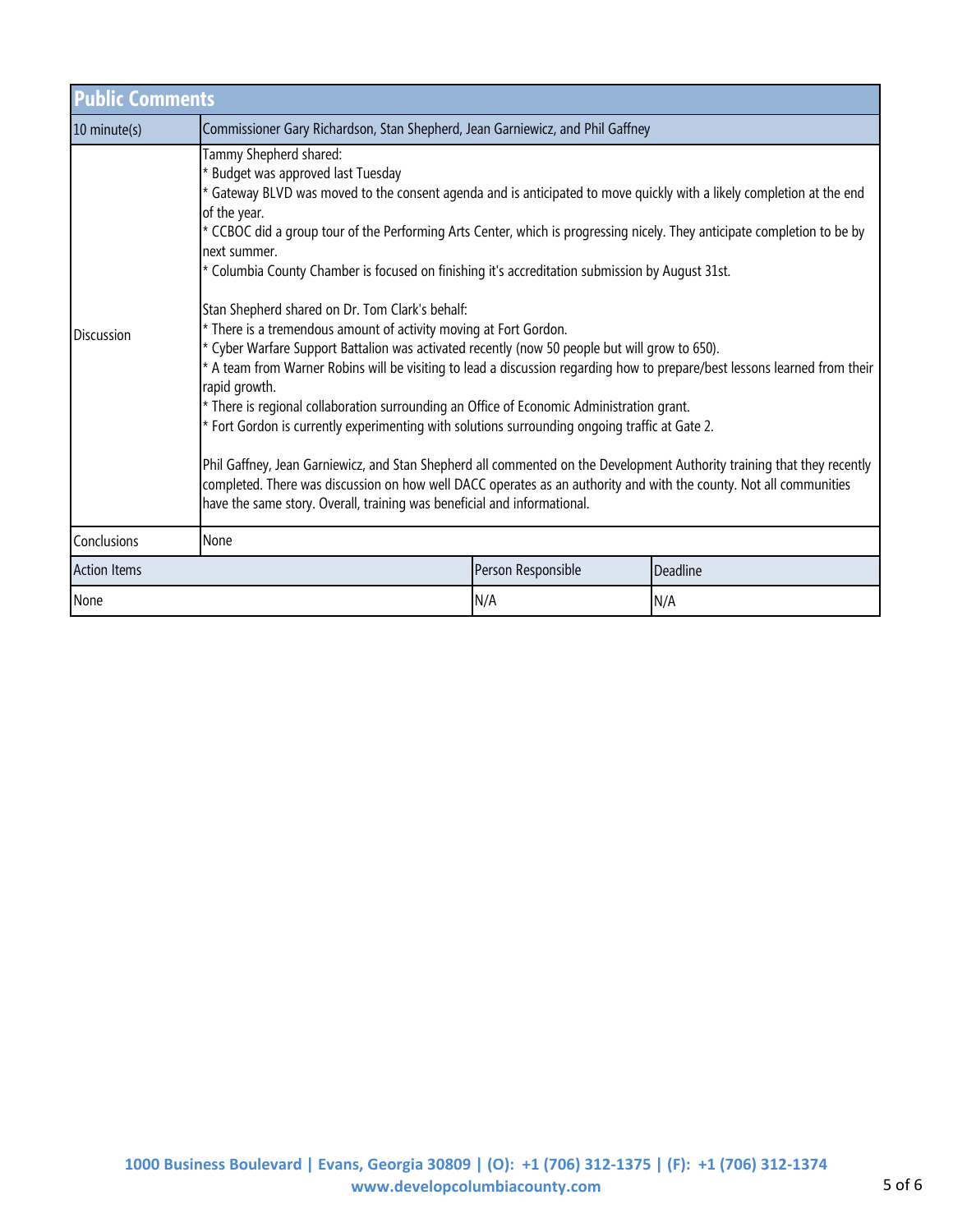| <b>Public Comments</b> |                                                                                                                                                                                                                                                                                                                                                                                                                                                                                                                                                                                                                                                                                                                                                                                                                                                                                                                                                                                                                                                                                                                                                                                                                                                                                                                                                         |                    |          |  |
|------------------------|---------------------------------------------------------------------------------------------------------------------------------------------------------------------------------------------------------------------------------------------------------------------------------------------------------------------------------------------------------------------------------------------------------------------------------------------------------------------------------------------------------------------------------------------------------------------------------------------------------------------------------------------------------------------------------------------------------------------------------------------------------------------------------------------------------------------------------------------------------------------------------------------------------------------------------------------------------------------------------------------------------------------------------------------------------------------------------------------------------------------------------------------------------------------------------------------------------------------------------------------------------------------------------------------------------------------------------------------------------|--------------------|----------|--|
| 10 minute(s)           | Commissioner Gary Richardson, Stan Shepherd, Jean Garniewicz, and Phil Gaffney                                                                                                                                                                                                                                                                                                                                                                                                                                                                                                                                                                                                                                                                                                                                                                                                                                                                                                                                                                                                                                                                                                                                                                                                                                                                          |                    |          |  |
| <b>Discussion</b>      | Tammy Shepherd shared:<br>* Budget was approved last Tuesday<br>* Gateway BLVD was moved to the consent agenda and is anticipated to move quickly with a likely completion at the end<br>of the year.<br>* CCBOC did a group tour of the Performing Arts Center, which is progressing nicely. They anticipate completion to be by<br>next summer.<br>* Columbia County Chamber is focused on finishing it's accreditation submission by August 31st.<br>Stan Shepherd shared on Dr. Tom Clark's behalf:<br>* There is a tremendous amount of activity moving at Fort Gordon.<br>Cyber Warfare Support Battalion was activated recently (now 50 people but will grow to 650).<br>* A team from Warner Robins will be visiting to lead a discussion regarding how to prepare/best lessons learned from their<br>rapid growth.<br>* There is regional collaboration surrounding an Office of Economic Administration grant.<br>* Fort Gordon is currently experimenting with solutions surrounding ongoing traffic at Gate 2.<br>Phil Gaffney, Jean Garniewicz, and Stan Shepherd all commented on the Development Authority training that they recently<br>completed. There was discussion on how well DACC operates as an authority and with the county. Not all communities<br>have the same story. Overall, training was beneficial and informational. |                    |          |  |
| Conclusions            | None                                                                                                                                                                                                                                                                                                                                                                                                                                                                                                                                                                                                                                                                                                                                                                                                                                                                                                                                                                                                                                                                                                                                                                                                                                                                                                                                                    |                    |          |  |
| <b>Action Items</b>    |                                                                                                                                                                                                                                                                                                                                                                                                                                                                                                                                                                                                                                                                                                                                                                                                                                                                                                                                                                                                                                                                                                                                                                                                                                                                                                                                                         | Person Responsible | Deadline |  |
| None                   |                                                                                                                                                                                                                                                                                                                                                                                                                                                                                                                                                                                                                                                                                                                                                                                                                                                                                                                                                                                                                                                                                                                                                                                                                                                                                                                                                         | N/A                | N/A      |  |